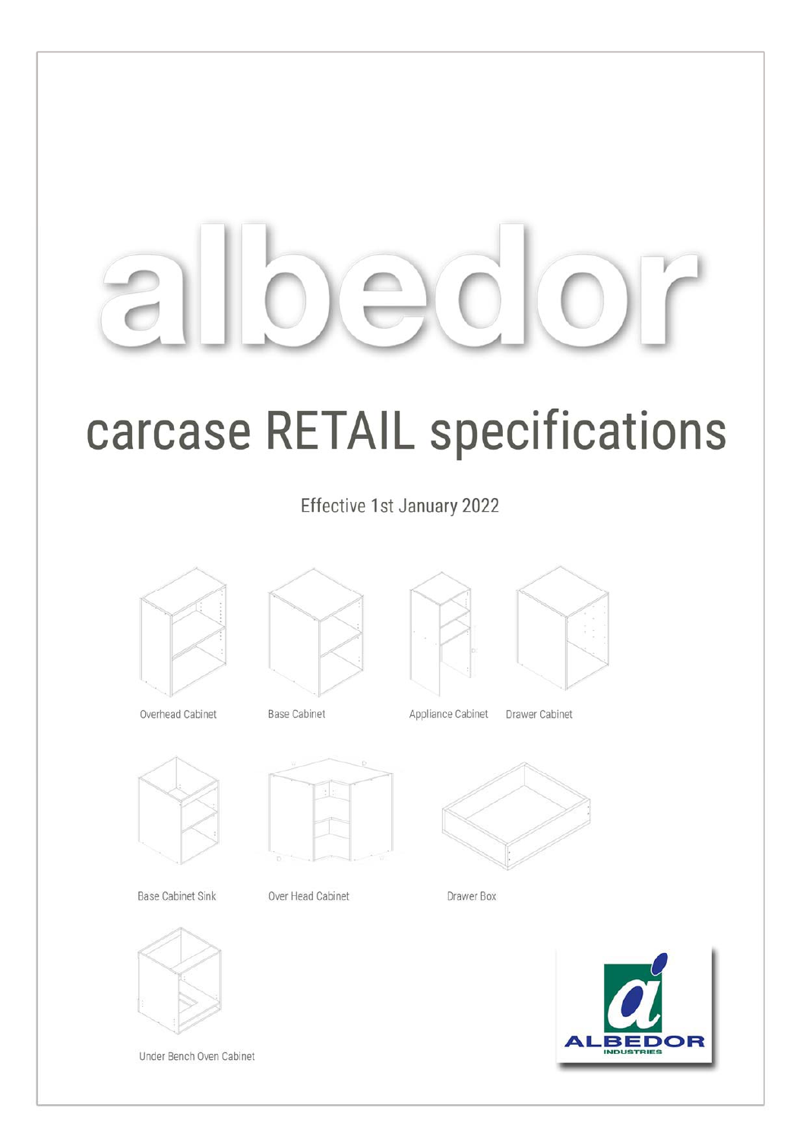# carcase RETAIL specifications

Effective 1st January 2022



Overhead Cabinet



**Base Cabinet Sink** 



Under Bench Oven Cabinet

**Base Cabinet** 



Over Head Cabinet



| Appliance Cab |  |
|---------------|--|
|               |  |

pinet Drawer Cabinet



Drawer Box

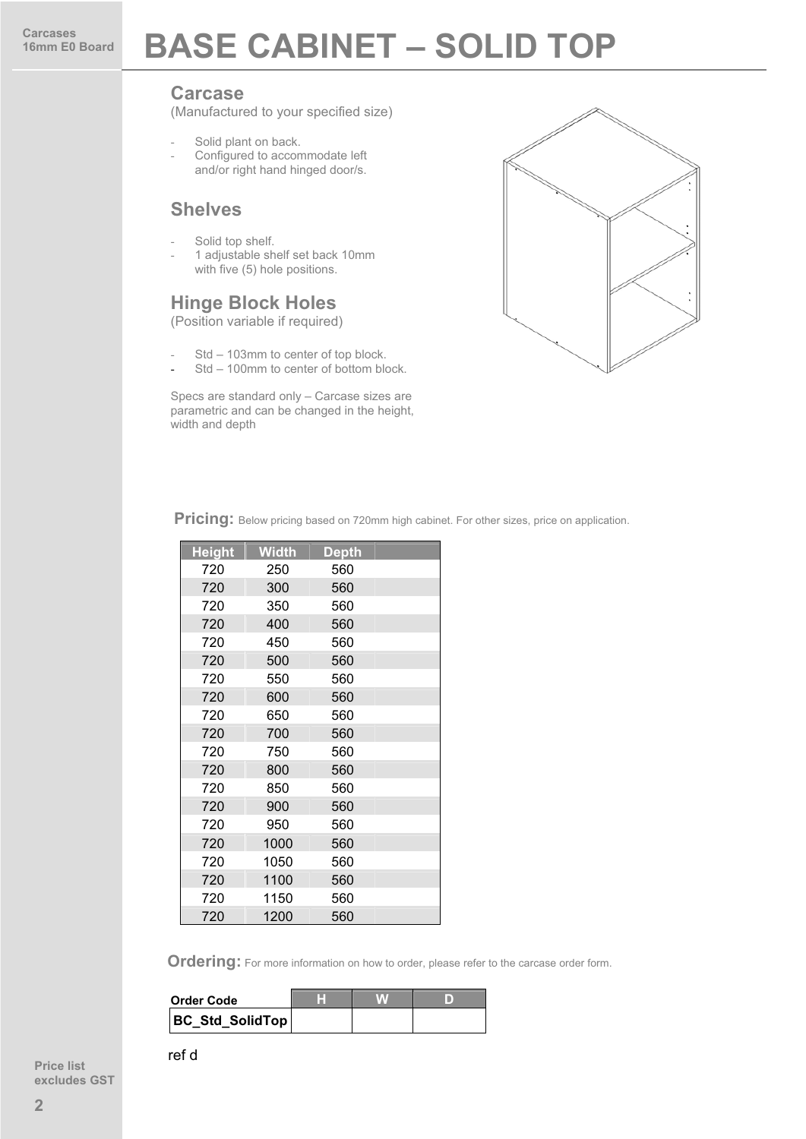### **16mm BASE CABINET – SOLID TOP**

#### **Carcase**

(Manufactured to your specified size)

- Solid plant on back.
- Configured to accommodate left and/or right hand hinged door/s.

#### **Shelves**

- Solid top shelf.
- 1 adjustable shelf set back 10mm with five (5) hole positions.

#### **Hinge Block Holes**

(Position variable if required)

- Std 103mm to center of top block.
- Std 100mm to center of bottom block.

Specs are standard only – Carcase sizes are parametric and can be changed in the height, width and depth



Pricing: Below pricing based on 720mm high cabinet. For other sizes, price on application.

| <b>Height</b> | <b>Width</b> | <b>Depth</b> |  |
|---------------|--------------|--------------|--|
| 720           | 250          | 560          |  |
| 720           | 300          | 560          |  |
| 720           | 350          | 560          |  |
| 720           | 400          | 560          |  |
| 720           | 450          | 560          |  |
| 720           | 500          | 560          |  |
| 720           | 550          | 560          |  |
| 720           | 600          | 560          |  |
| 720           | 650          | 560          |  |
| 720           | 700          | 560          |  |
| 720           | 750          | 560          |  |
| 720           | 800          | 560          |  |
| 720           | 850          | 560          |  |
| 720           | 900          | 560          |  |
| 720           | 950          | 560          |  |
| 720           | 1000         | 560          |  |
| 720           | 1050         | 560          |  |
| 720           | 1100         | 560          |  |
| 720           | 1150         | 560          |  |
| 720           | 1200         | 560          |  |

 **Ordering:** For more information on how to order, please refer to the carcase order form.

| <b>Order Code</b>      |  |  |
|------------------------|--|--|
| <b>BC Std SolidTop</b> |  |  |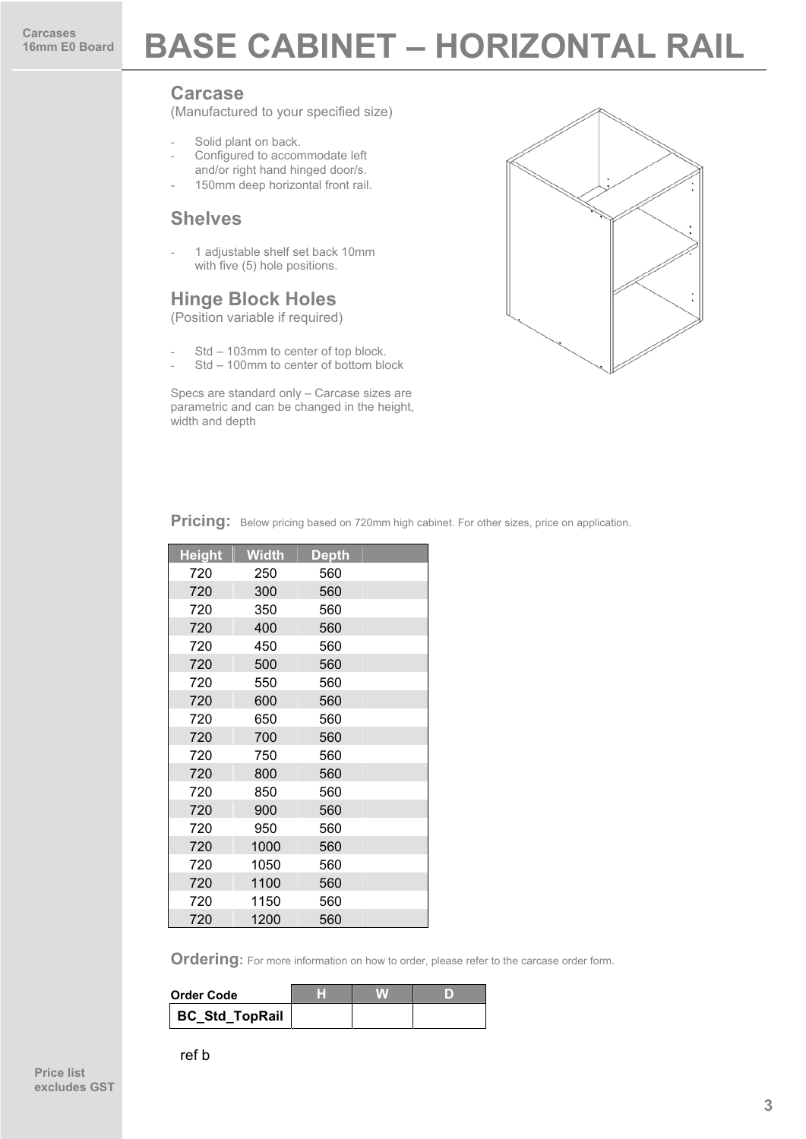### **BASE CABINET – HORIZONTAL RAIL**

#### **Carcase**

(Manufactured to your specified size)

- Solid plant on back.
- Configured to accommodate left and/or right hand hinged door/s.
- 150mm deep horizontal front rail.

#### **Shelves**

- 1 adjustable shelf set back 10mm with five (5) hole positions.

#### **Hinge Block Holes**

(Position variable if required)

- Std 103mm to center of top block.
- Std 100mm to center of bottom block

Specs are standard only – Carcase sizes are parametric and can be changed in the height, width and depth



Pricing: Below pricing based on 720mm high cabinet. For other sizes, price on application.

| <b>Height</b> | Width | Depth |  |
|---------------|-------|-------|--|
| 720           | 250   | 560   |  |
| 720           | 300   | 560   |  |
| 720           | 350   | 560   |  |
| 720           | 400   | 560   |  |
| 720           | 450   | 560   |  |
| 720           | 500   | 560   |  |
| 720           | 550   | 560   |  |
| 720           | 600   | 560   |  |
| 720           | 650   | 560   |  |
| 720           | 700   | 560   |  |
| 720           | 750   | 560   |  |
| 720           | 800   | 560   |  |
| 720           | 850   | 560   |  |
| 720           | 900   | 560   |  |
| 720           | 950   | 560   |  |
| 720           | 1000  | 560   |  |
| 720           | 1050  | 560   |  |
| 720           | 1100  | 560   |  |
| 720           | 1150  | 560   |  |
| 720           | 1200  | 560   |  |

| <b>Order Code</b> |  |  |
|-------------------|--|--|
| BC_Std_TopRail    |  |  |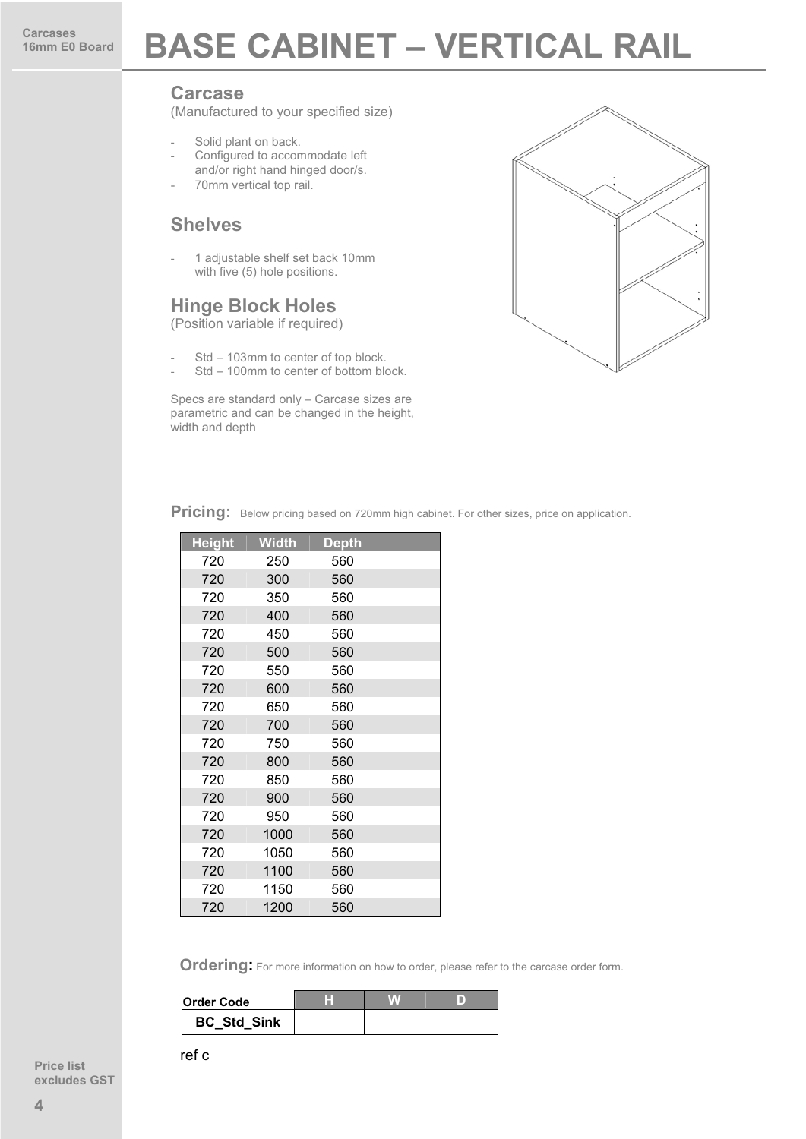### **16mm BASE CABINET – VERTICAL RAIL**

#### **Carcase**

(Manufactured to your specified size)

- Solid plant on back.
- Configured to accommodate left and/or right hand hinged door/s.
- 70mm vertical top rail.

#### **Shelves**

1 adjustable shelf set back 10mm with five (5) hole positions.

#### **Hinge Block Holes**

(Position variable if required)

- Std 103mm to center of top block.
- Std 100mm to center of bottom block.

Specs are standard only – Carcase sizes are parametric and can be changed in the height, width and depth



**Pricing:** Below pricing based on 720mm high cabinet. For other sizes, price on application.

| <b>Height</b> | <b>Width</b> | <b>Depth</b> |  |
|---------------|--------------|--------------|--|
| 720           | 250          | 560          |  |
| 720           | 300          | 560          |  |
| 720           | 350          | 560          |  |
| 720           | 400          | 560          |  |
| 720           | 450          | 560          |  |
| 720           | 500          | 560          |  |
| 720           | 550          | 560          |  |
| 720           | 600          | 560          |  |
| 720           | 650          | 560          |  |
| 720           | 700          | 560          |  |
| 720           | 750          | 560          |  |
| 720           | 800          | 560          |  |
| 720           | 850          | 560          |  |
| 720           | 900          | 560          |  |
| 720           | 950          | 560          |  |
| 720           | 1000         | 560          |  |
| 720           | 1050         | 560          |  |
| 720           | 1100         | 560          |  |
| 720           | 1150         | 560          |  |
| 720           | 1200         | 560          |  |

**Ordering:** For more information on how to order, please refer to the carcase order form.

| <b>Order Code</b>  |  |  |
|--------------------|--|--|
| <b>BC Std Sink</b> |  |  |

**Price list**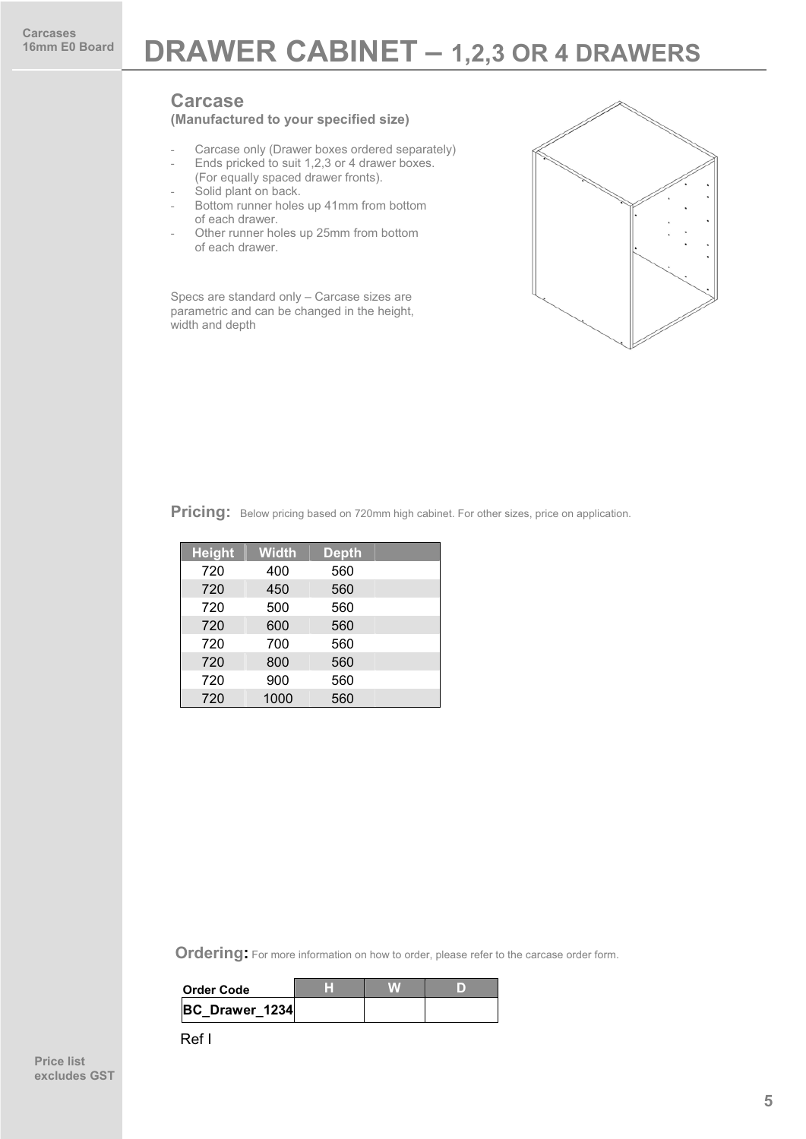### **DRAWER CABINET – 1,2,3 OR 4 DRAWERS**

#### **Carcase**

#### **(Manufactured to your specified size)**

- Carcase only (Drawer boxes ordered separately)
- Ends pricked to suit 1,2,3 or 4 drawer boxes. (For equally spaced drawer fronts).
- Solid plant on back.
- Bottom runner holes up 41mm from bottom of each drawer.
- Other runner holes up 25mm from bottom of each drawer.

Specs are standard only – Carcase sizes are parametric and can be changed in the height, width and depth



Pricing: Below pricing based on 720mm high cabinet. For other sizes, price on application.

| <b>Height</b> | <b>Width</b> | <b>Depth</b> |  |
|---------------|--------------|--------------|--|
| 720           | 400          | 560          |  |
| 720           | 450          | 560          |  |
| 720           | 500          | 560          |  |
| 720           | 600          | 560          |  |
| 720           | 700          | 560          |  |
| 720           | 800          | 560          |  |
| 720           | 900          | 560          |  |
| 720           | 1000         | 560          |  |

**Ordering:** For more information on how to order, please refer to the carcase order form.

| Order Code     |  |  |
|----------------|--|--|
| BC Drawer 1234 |  |  |
|                |  |  |

Ref I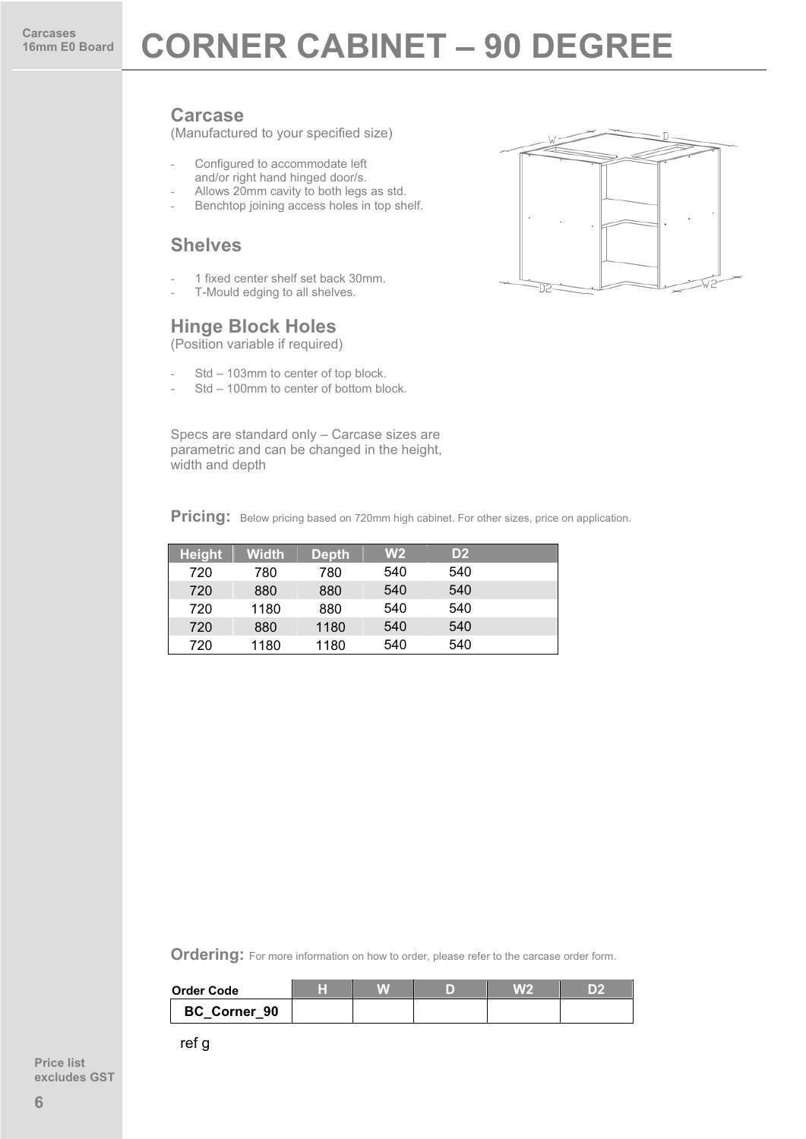### **16mm E0 Board CORNER CABINET – 90 DEGREE**

#### **Carcase**

(Manufactured to your specified size)

- Configured to accommodate left and/or right hand hinged door/s.
- Allows 20mm cavity to both legs as std.
- Benchtop joining access holes in top shelf.

#### **Shelves**

- 1 fixed center shelf set back 30mm.
- T-Mould edging to all shelves.

#### **Hinge Block Holes**

(Position variable if required)

- Std 103mm to center of top block.
- Std 100mm to center of bottom block.

Specs are standard only – Carcase sizes are parametric and can be changed in the height, width and depth

Pricing: Below pricing based on 720mm high cabinet. For other sizes, price on application.

| <b>Height</b> | <b>Width</b> | <b>Depth</b> | W <sub>2</sub> | D <sub>2</sub> |  |
|---------------|--------------|--------------|----------------|----------------|--|
| 720           | 780          | 780          | 540            | 540            |  |
| 720           | 880          | 880          | 540            | 540            |  |
| 720           | 1180         | 880          | 540            | 540            |  |
| 720           | 880          | 1180         | 540            | 540            |  |
| 720           | 1180         | 1180         | 540            | 540            |  |

**Ordering:** For more information on how to order, please refer to the carcase order form.

| <b>Order Code</b> | ш |  | V.VG |  |
|-------------------|---|--|------|--|
| BC Corner 90      |   |  |      |  |

ref g

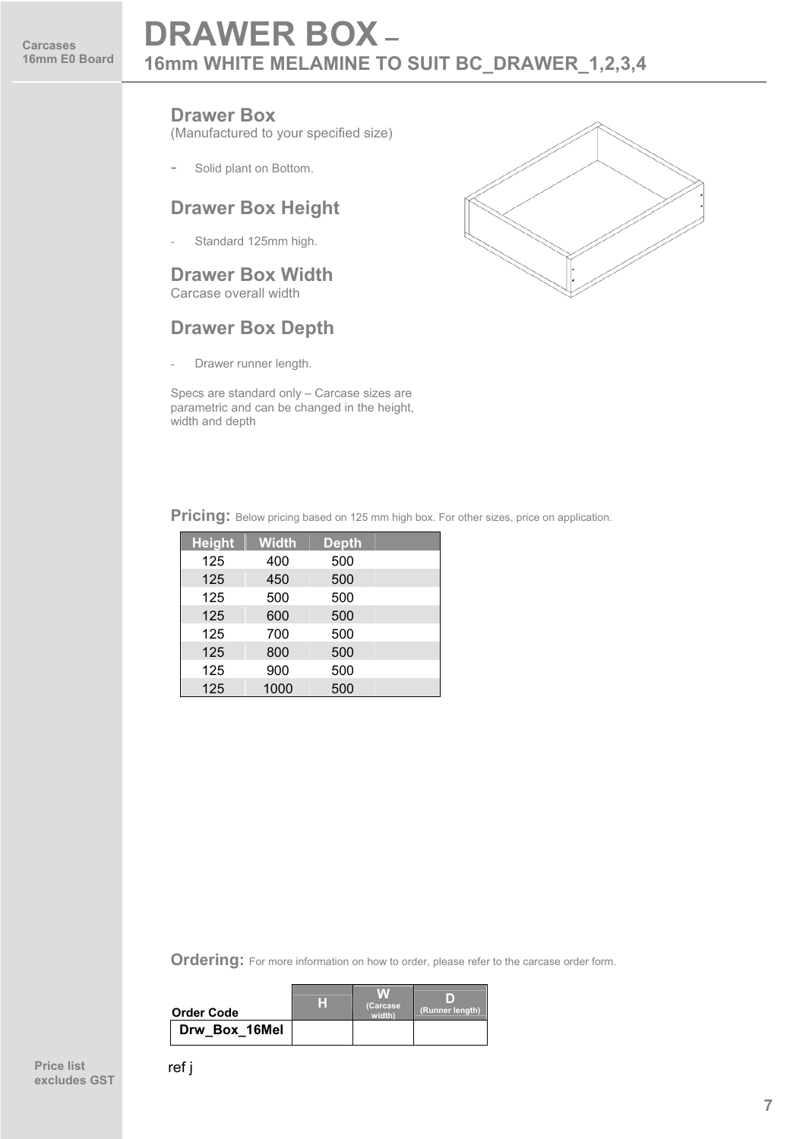### **DRAWER BOX – 16mm WHITE MELAMINE TO SUIT BC\_DRAWER\_1,2,3,4**

#### **Drawer Box**

(Manufactured to your specified size)

Solid plant on Bottom.

#### **Drawer Box Height**

- Standard 125mm high.

#### **Drawer Box Width** Carcase overall width

#### **Drawer Box Depth**

Drawer runner length.

Specs are standard only – Carcase sizes are parametric and can be changed in the height, width and depth



**Pricing:** Below pricing based on 125 mm high box. For other sizes, price on application.

| <b>Height</b> | <b>Width</b> | <b>Depth</b> |  |
|---------------|--------------|--------------|--|
| 125           | 400          | 500          |  |
| 125           | 450          | 500          |  |
| 125           | 500          | 500          |  |
| 125           | 600          | 500          |  |
| 125           | 700          | 500          |  |
| 125           | 800          | 500          |  |
| 125           | 900          | 500          |  |
| 125           | 1000         | 500          |  |

| <b>Order Code</b> | H | (Carcase<br>width | (Runner length) |
|-------------------|---|-------------------|-----------------|
| Drw Box 16Mel     |   |                   |                 |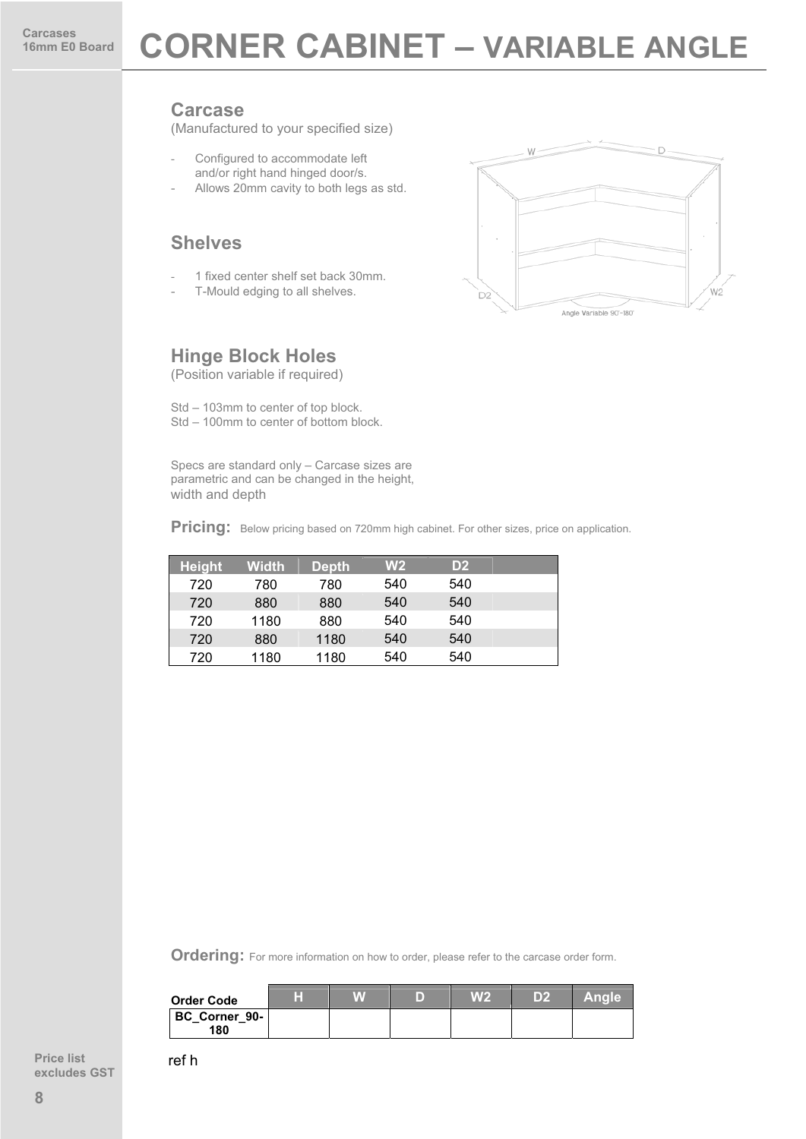### **16 Board CORNER CABINET – VARIABLE ANGLE**

#### **Carcase**

(Manufactured to your specified size)

- Configured to accommodate left and/or right hand hinged door/s.
- Allows 20mm cavity to both legs as std.

#### **Shelves**

- 1 fixed center shelf set back 30mm.
- T-Mould edging to all shelves.

#### **Hinge Block Holes**

(Position variable if required)

Std – 103mm to center of top block. Std – 100mm to center of bottom block.

Specs are standard only – Carcase sizes are parametric and can be changed in the height, width and depth

**Pricing:** Below pricing based on 720mm high cabinet. For other sizes, price on application.

| <b>Height</b> | Width | <b>Depth</b> | W <sub>2</sub> | D2  |  |
|---------------|-------|--------------|----------------|-----|--|
| 720           | 780   | 780          | 540            | 540 |  |
| 720           | 880   | 880          | 540            | 540 |  |
| 720           | 1180  | 880          | 540            | 540 |  |
| 720           | 880   | 1180         | 540            | 540 |  |
| 720           | 1180  | 1180         | 540            | 540 |  |

**Ordering:** For more information on how to order, please refer to the carcase order form.

| <b>Order Code</b>    | ш | D | W <sub>2</sub> | D2 | <b>Angle</b> |
|----------------------|---|---|----------------|----|--------------|
| BC Corner 90-<br>180 |   |   |                |    |              |

**Price list excludes GST** ref h

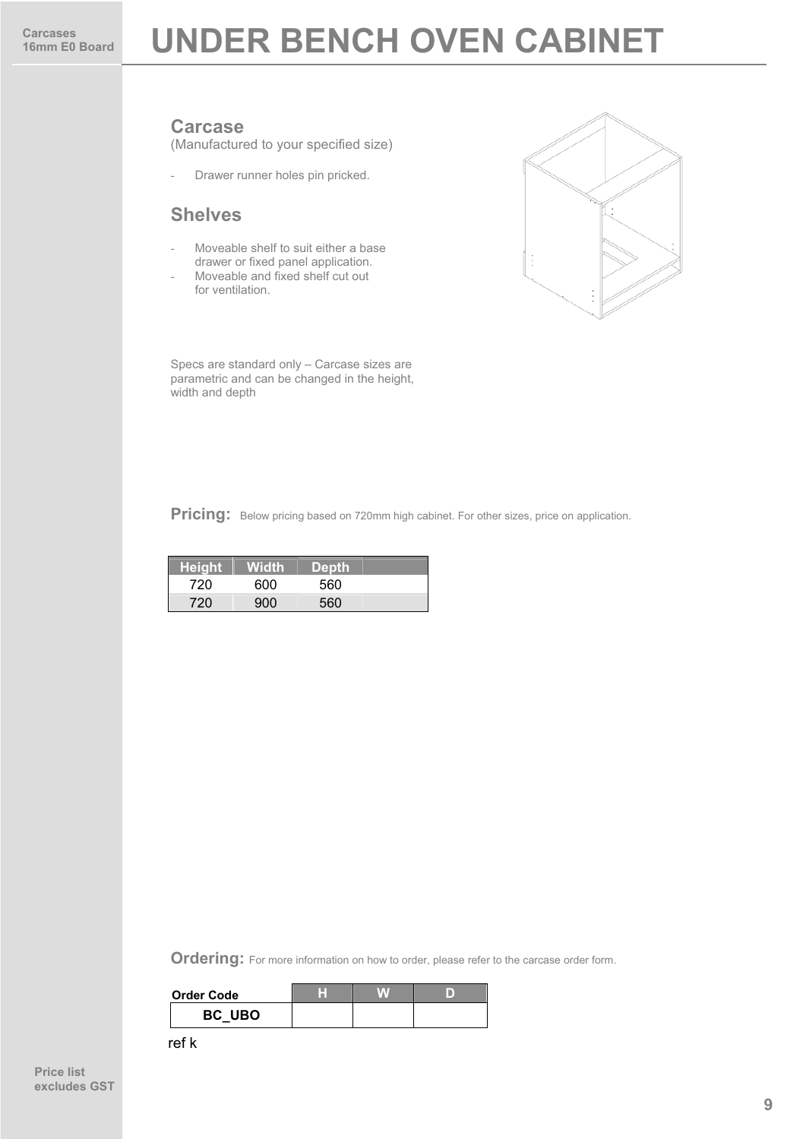### **UNDER BENCH OVEN CABINET**

#### **Carcase**

(Manufactured to your specified size)

- Drawer runner holes pin pricked.

#### **Shelves**

- Moveable shelf to suit either a base drawer or fixed panel application.
- Moveable and fixed shelf cut out for ventilation.



Specs are standard only – Carcase sizes are parametric and can be changed in the height, width and depth

Pricing: Below pricing based on 720mm high cabinet. For other sizes, price on application.

| <b>Height</b> | Width | <b>Depth</b> |  |
|---------------|-------|--------------|--|
| 720           | 600   | 560          |  |
| 720           | 900   | 560          |  |

**Ordering:** For more information on how to order, please refer to the carcase order form.

| <b>Order Code</b> |  |  |
|-------------------|--|--|
| BC UBO            |  |  |

ref k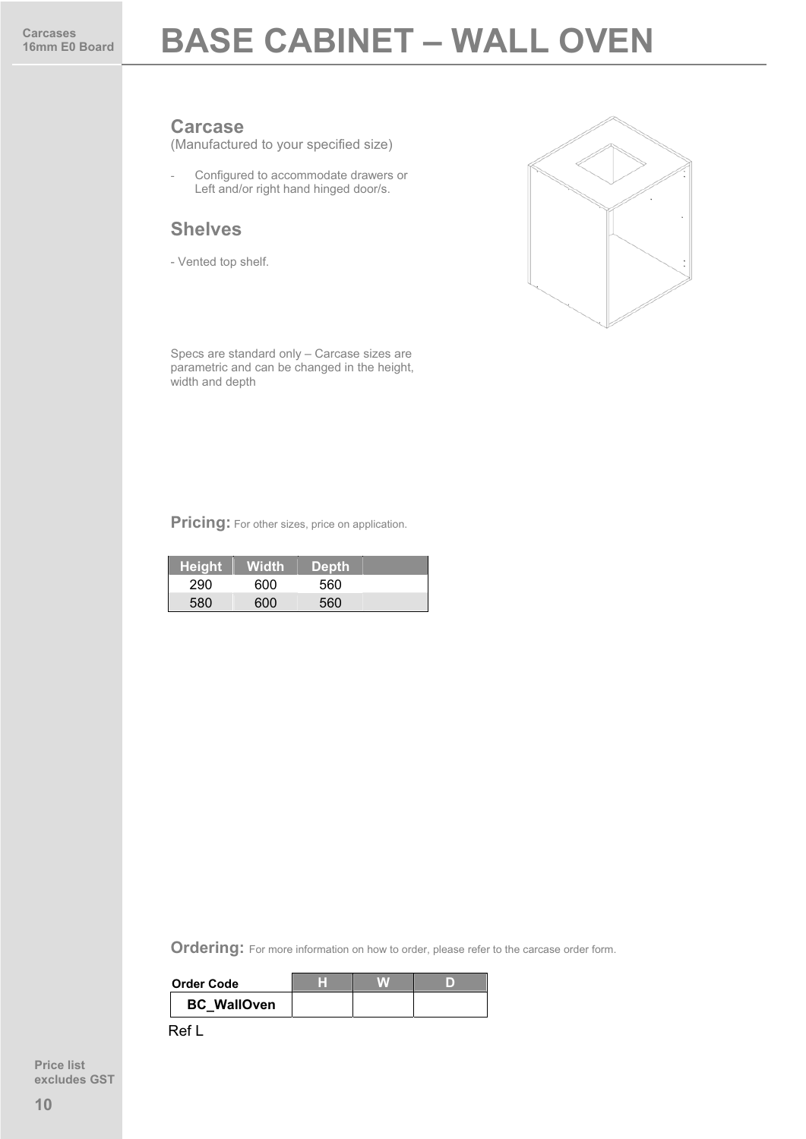### **BASE CABINET – WALL OVEN**

#### **Carcase**

(Manufactured to your specified size)

- Configured to accommodate drawers or Left and/or right hand hinged door/s.

#### **Shelves**

- Vented top shelf.



Specs are standard only – Carcase sizes are parametric and can be changed in the height, width and depth

**Pricing:** For other sizes, price on application.

| <b>Height</b> | <b>Width</b> | <b>Depth</b> |  |
|---------------|--------------|--------------|--|
| 290           | റെറ          | 560          |  |
|               | 600          | 560          |  |

**Ordering:** For more information on how to order, please refer to the carcase order form.

| <b>Order Code</b>  |  |  |
|--------------------|--|--|
| <b>BC</b> WallOven |  |  |

Ref L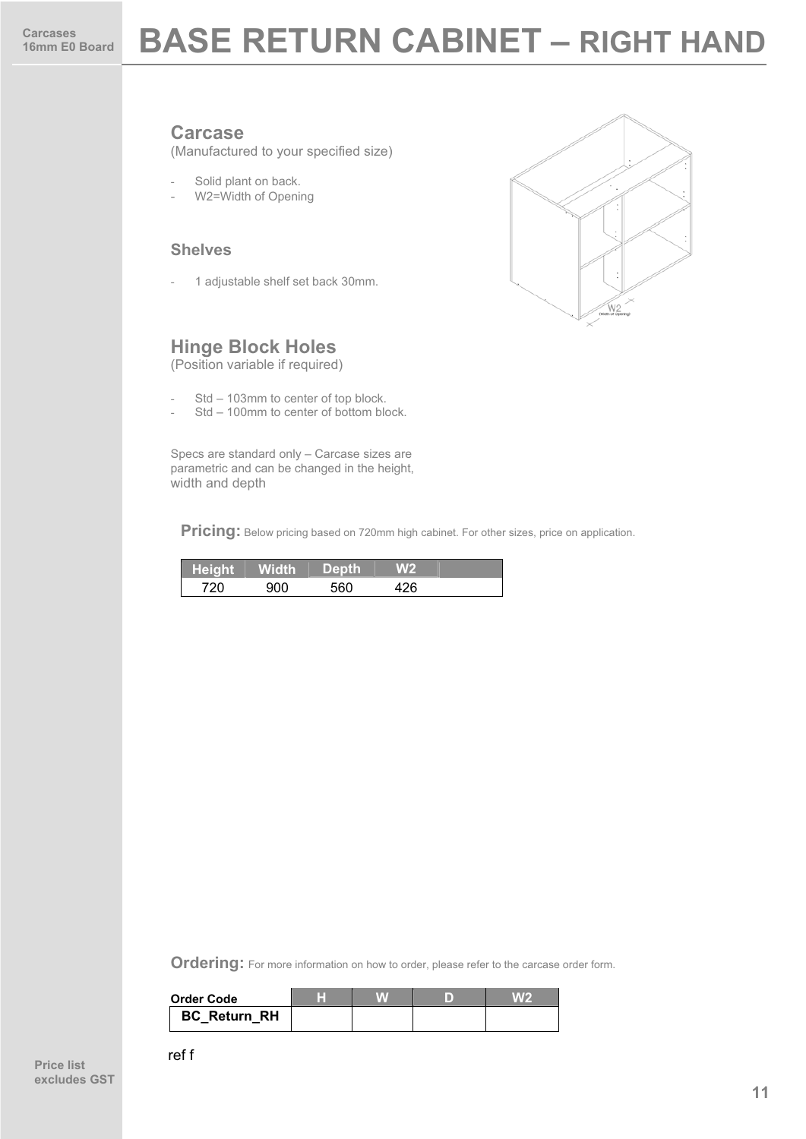### **BASE RETURN CABINET – RIGHT HAND**

#### **Carcase**

(Manufactured to your specified size)

- Solid plant on back.
- W2=Width of Opening

#### **Shelves**

1 adjustable shelf set back 30mm.



#### **Hinge Block Holes**

(Position variable if required)

- Std 103mm to center of top block.
- Std 100mm to center of bottom block.

Specs are standard only – Carcase sizes are parametric and can be changed in the height, width and depth

Pricing: Below pricing based on 720mm high cabinet. For other sizes, price on application.

| <b>The Contract of Street</b> | Height   Width | 'Depth. |  |
|-------------------------------|----------------|---------|--|
| 700                           |                | 560     |  |

| <b>Order Code</b>   |  |  |
|---------------------|--|--|
| <b>BC Return RH</b> |  |  |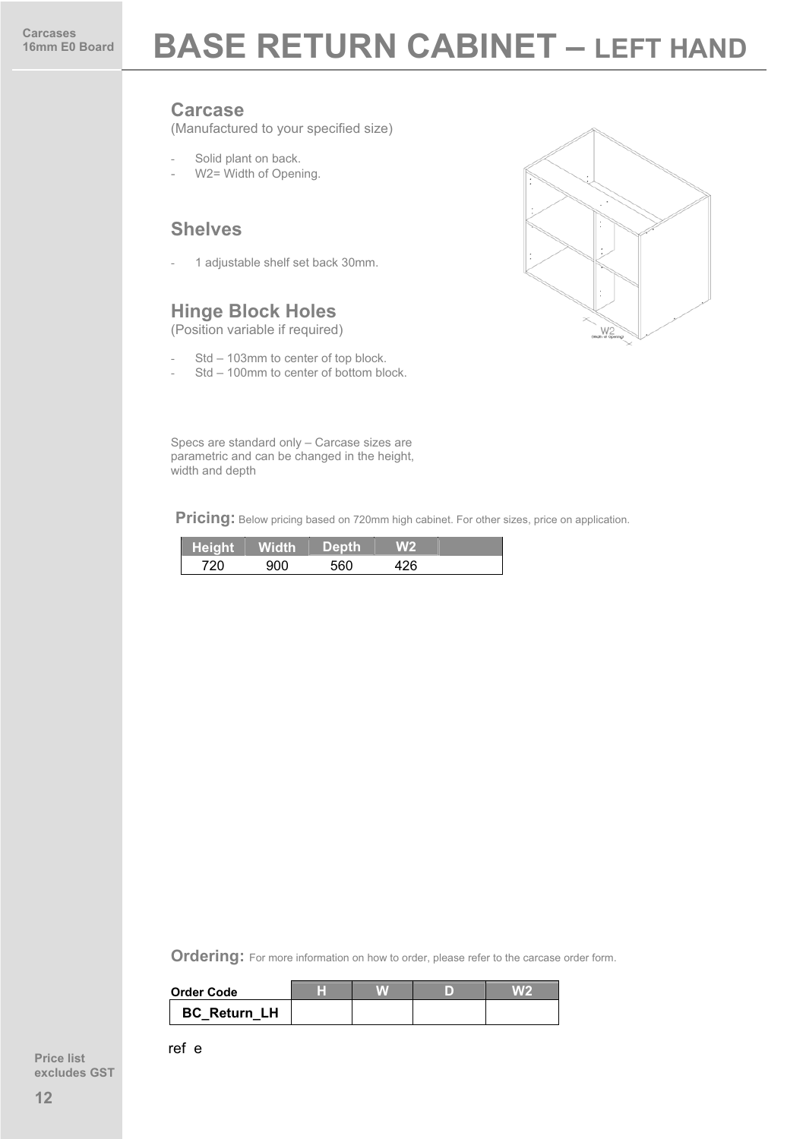### **BASE RETURN CABINET - LEFT HAND**

#### **Carcase**

(Manufactured to your specified size)

- Solid plant on back.
- W2= Width of Opening.

#### **Shelves**

1 adjustable shelf set back 30mm.

#### **Hinge Block Holes**

(Position variable if required)

- Std 103mm to center of top block.
- Std 100mm to center of bottom block.



Specs are standard only – Carcase sizes are parametric and can be changed in the height, width and depth

**Pricing:** Below pricing based on 720mm high cabinet. For other sizes, price on application.

| Height Width | <b>Depth</b> |  |
|--------------|--------------|--|
|              | よよの          |  |

**Ordering:** For more information on how to order, please refer to the carcase order form.

| Order Code          |  |  |
|---------------------|--|--|
| <b>BC Return LH</b> |  |  |

ref e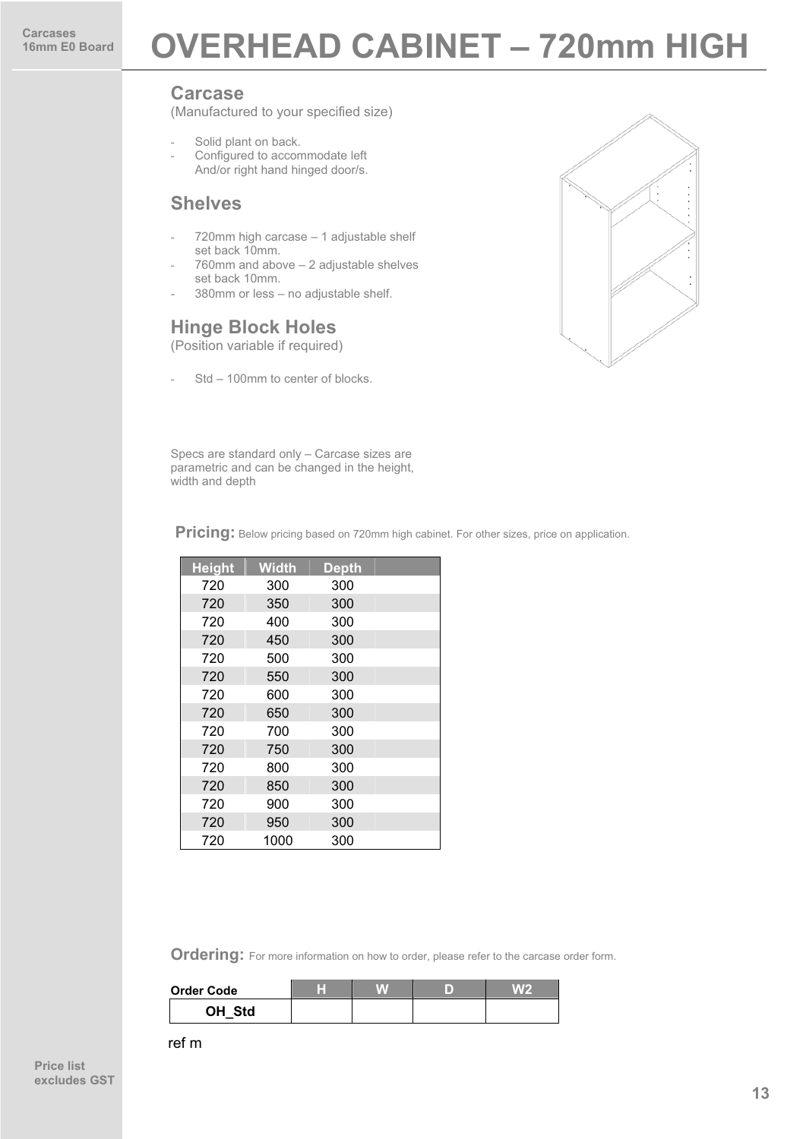### **Carcases** Board **OVERHEAD CABINET - 720mm HIGH**

#### **Carcase**

(Manufactured to your specified size)

- Solid plant on back.
- Configured to accommodate left And/or right hand hinged door/s.

#### **Shelves**

- 720mm high carcase 1 adjustable shelf set back 10mm.
- 760mm and above 2 adjustable shelves set back 10mm.
- 380mm or less no adjustable shelf.

#### **Hinge Block Holes**

(Position variable if required)

Std – 100mm to center of blocks.



Specs are standard only – Carcase sizes are parametric and can be changed in the height, width and depth

**Pricing:** Below pricing based on 720mm high cabinet. For other sizes, price on application.

| <b>Height</b> | <b>Width</b> | <b>Depth</b> |  |
|---------------|--------------|--------------|--|
| 720           | 300          | 300          |  |
| 720           | 350          | 300          |  |
| 720           | 400          | 300          |  |
| 720           | 450          | 300          |  |
| 720           | 500          | 300          |  |
| 720           | 550          | 300          |  |
| 720           | 600          | 300          |  |
| 720           | 650          | 300          |  |
| 720           | 700          | 300          |  |
| 720           | 750          | 300          |  |
| 720           | 800          | 300          |  |
| 720           | 850          | 300          |  |
| 720           | 900          | 300          |  |
| 720           | 950          | 300          |  |
| 720           | 1000         | 300          |  |

**Ordering:** For more information on how to order, please refer to the carcase order form.

| Order Code | ш |  | $V_A V_F$ |
|------------|---|--|-----------|
| OH Std     |   |  |           |

ref m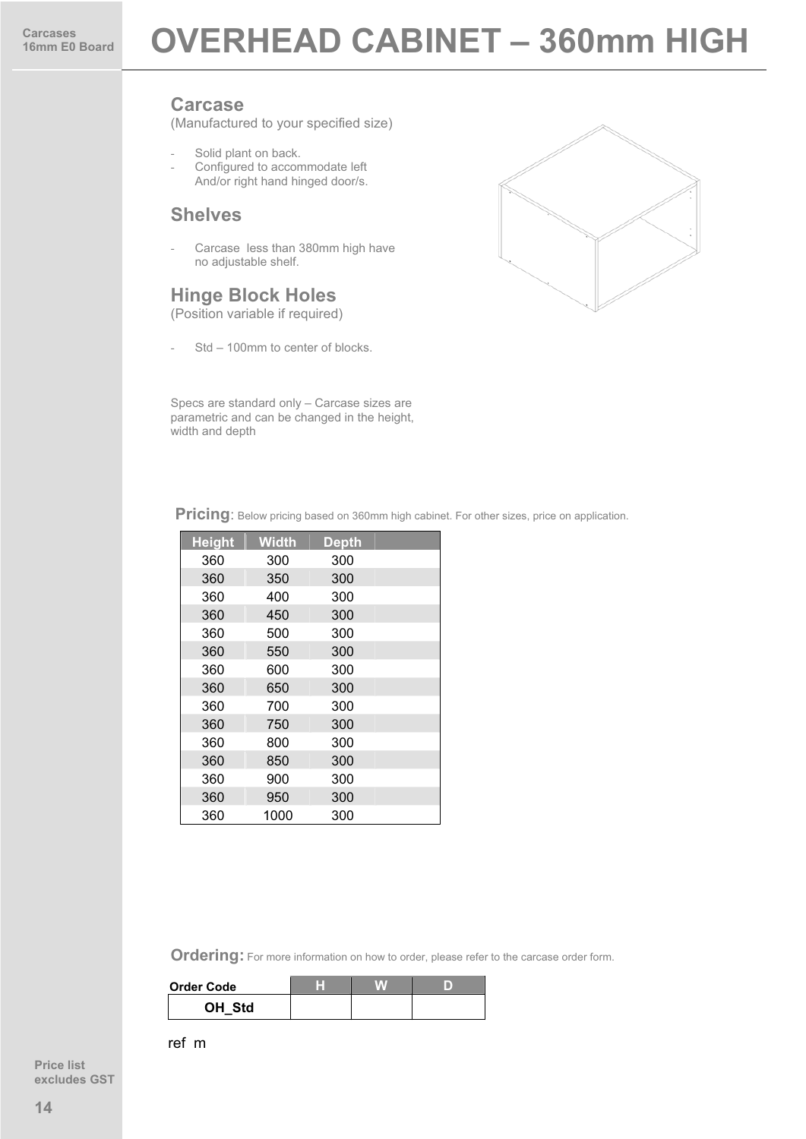(Manufactured to your specified size)

Solid plant on back. Configured to accommodate left And/or right hand hinged door/s.

#### **Shelves**

Carcase less than 380mm high have no adjustable shelf.

#### **Hinge Block Holes**

(Position variable if required)

Std - 100mm to center of blocks.



Specs are standard only – Carcase sizes are parametric and can be changed in the height, width and depth

Pricing: Below pricing based on 360mm high cabinet. For other sizes, price on application.

| <b>Height</b> | <b>Width</b> | <b>Depth</b> |  |
|---------------|--------------|--------------|--|
| 360           | 300          | 300          |  |
| 360           | 350          | 300          |  |
| 360           | 400          | 300          |  |
| 360           | 450          | 300          |  |
| 360           | 500          | 300          |  |
| 360           | 550          | 300          |  |
| 360           | 600          | 300          |  |
| 360           | 650          | 300          |  |
| 360           | 700          | 300          |  |
| 360           | 750          | 300          |  |
| 360           | 800          | 300          |  |
| 360           | 850          | 300          |  |
| 360           | 900          | 300          |  |
| 360           | 950          | 300          |  |
| 360           | 1000         | 300          |  |

**Ordering:** For more information on how to order, please refer to the carcase order form.

| Order Code |  |  |
|------------|--|--|
| OH Std     |  |  |

ref m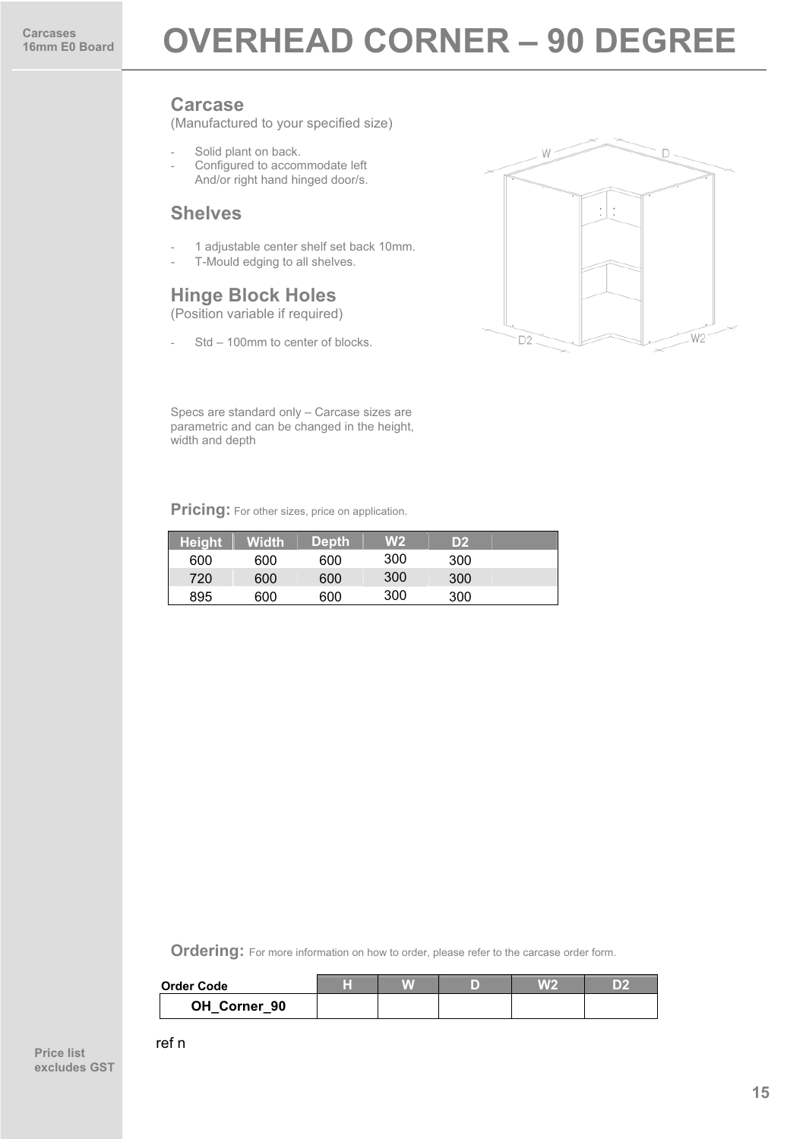(Manufactured to your specified size)

- Solid plant on back.
- Configured to accommodate left And/or right hand hinged door/s.

#### **Shelves**

- 1 adjustable center shelf set back 10mm.
- T-Mould edging to all shelves.

#### **Hinge Block Holes**

(Position variable if required)

- Std – 100mm to center of blocks.



Specs are standard only – Carcase sizes are parametric and can be changed in the height, width and depth

**Pricing:** For other sizes, price on application.

| <b>Height</b> | <b>Width</b> | <b>Depth</b> | W2  | D2  |  |
|---------------|--------------|--------------|-----|-----|--|
| 600           | 600          | 600          | 300 | 300 |  |
| 720           | 600          | 600          | 300 | 300 |  |
| 895           | 600          | 600          | 300 | 300 |  |

**Ordering:** For more information on how to order, please refer to the carcase order form.

| <b>Order Code</b> | т |  | W 2 |  |
|-------------------|---|--|-----|--|
| OH Corner 90      |   |  |     |  |

ref n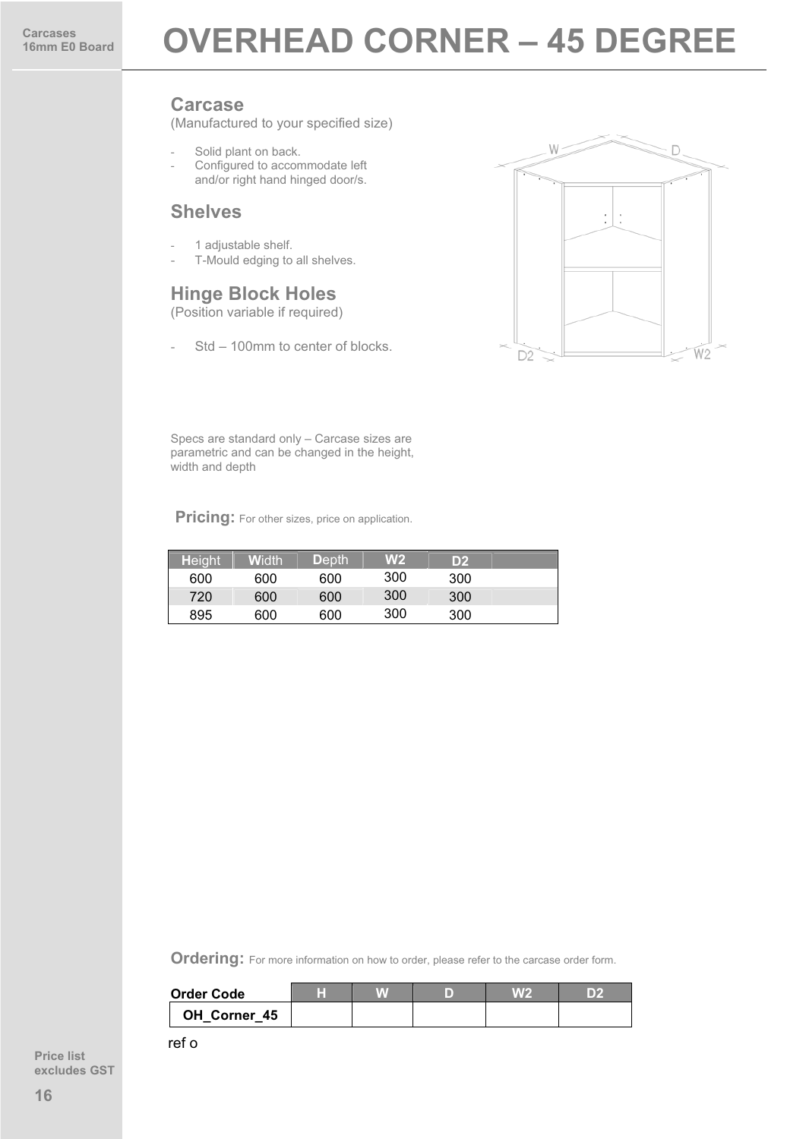(Manufactured to your specified size)

- Solid plant on back.
- Configured to accommodate left and/or right hand hinged door/s.

#### **Shelves**

- 1 adjustable shelf.
- T-Mould edging to all shelves.

#### **Hinge Block Holes**

(Position variable if required)

Std – 100mm to center of blocks.



Specs are standard only – Carcase sizes are parametric and can be changed in the height, width and depth

**Pricing:** For other sizes, price on application.

| <b>Height</b> | <b>W</b> idth | <b>Depth</b> | W2  | D2  |  |
|---------------|---------------|--------------|-----|-----|--|
| 600           | 600           | 600          | 300 | 300 |  |
| 720           | 600           | 600          | 300 | 300 |  |
| 895           | 600           | 600          | 300 | 300 |  |

**Ordering:** For more information on how to order, please refer to the carcase order form.

| <b>Order Code</b> | ш |  | VALO | DŹ |
|-------------------|---|--|------|----|
| OH Corner 45      |   |  |      |    |

ref o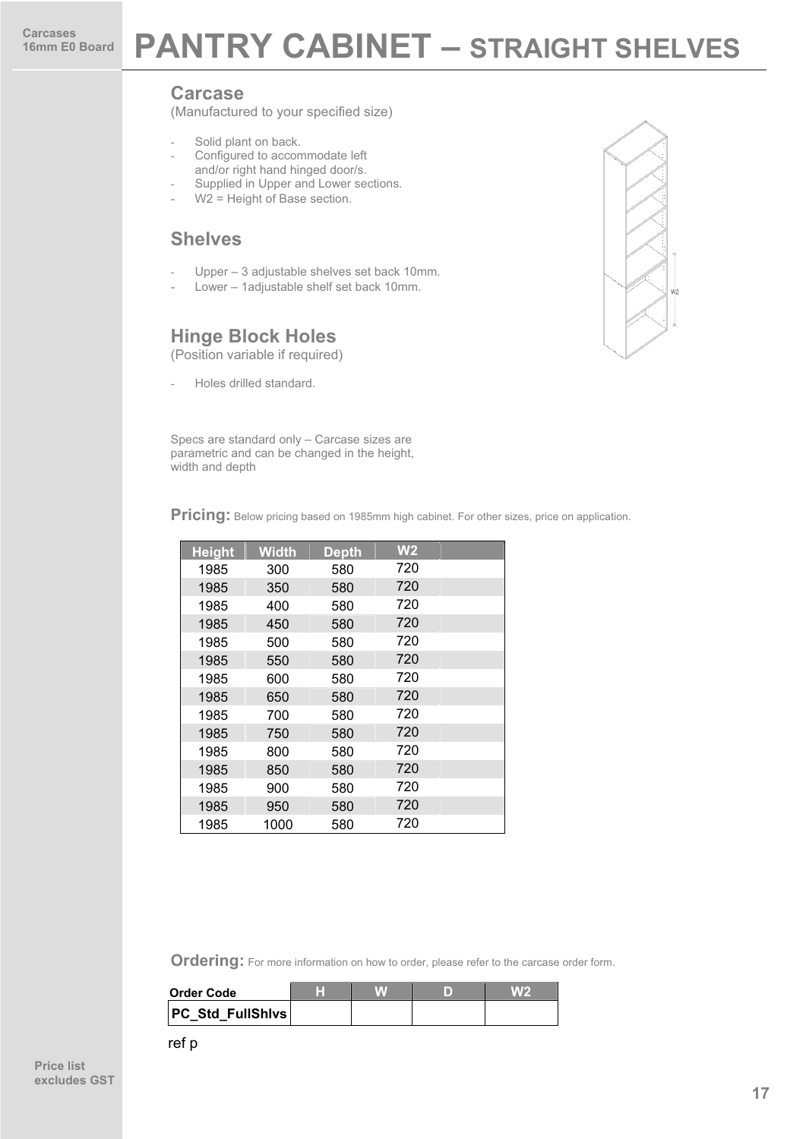### **PANTRY CABINET – STRAIGHT SHELVES**

#### **Carcase**

(Manufactured to your specified size)

- Solid plant on back.
- Configured to accommodate left
- and/or right hand hinged door/s. Supplied in Upper and Lower sections.
- 
- $W2$  = Height of Base section.

#### **Shelves**

- Upper 3 adjustable shelves set back 10mm.
- Lower 1adjustable shelf set back 10mm.

#### **Hinge Block Holes**

(Position variable if required)

Holes drilled standard.

Specs are standard only – Carcase sizes are parametric and can be changed in the height, width and depth

**Pricing:** Below pricing based on 1985mm high cabinet. For other sizes, price on application.

| <b>Height</b> | <b>Width</b> | <b>Depth</b> | W <sub>2</sub> |  |
|---------------|--------------|--------------|----------------|--|
| 1985          | 300          | 580          | 720            |  |
| 1985          | 350          | 580          | 720            |  |
| 1985          | 400          | 580          | 720            |  |
| 1985          | 450          | 580          | 720            |  |
| 1985          | 500          | 580          | 720            |  |
| 1985          | 550          | 580          | 720            |  |
| 1985          | 600          | 580          | 720            |  |
| 1985          | 650          | 580          | 720            |  |
| 1985          | 700          | 580          | 720            |  |
| 1985          | 750          | 580          | 720            |  |
| 1985          | 800          | 580          | 720            |  |
| 1985          | 850          | 580          | 720            |  |
| 1985          | 900          | 580          | 720            |  |
| 1985          | 950          | 580          | 720            |  |
| 1985          | 1000         | 580          | 720            |  |

| <b>Order Code</b>       |  |  |
|-------------------------|--|--|
| <b>PC Std FullShivs</b> |  |  |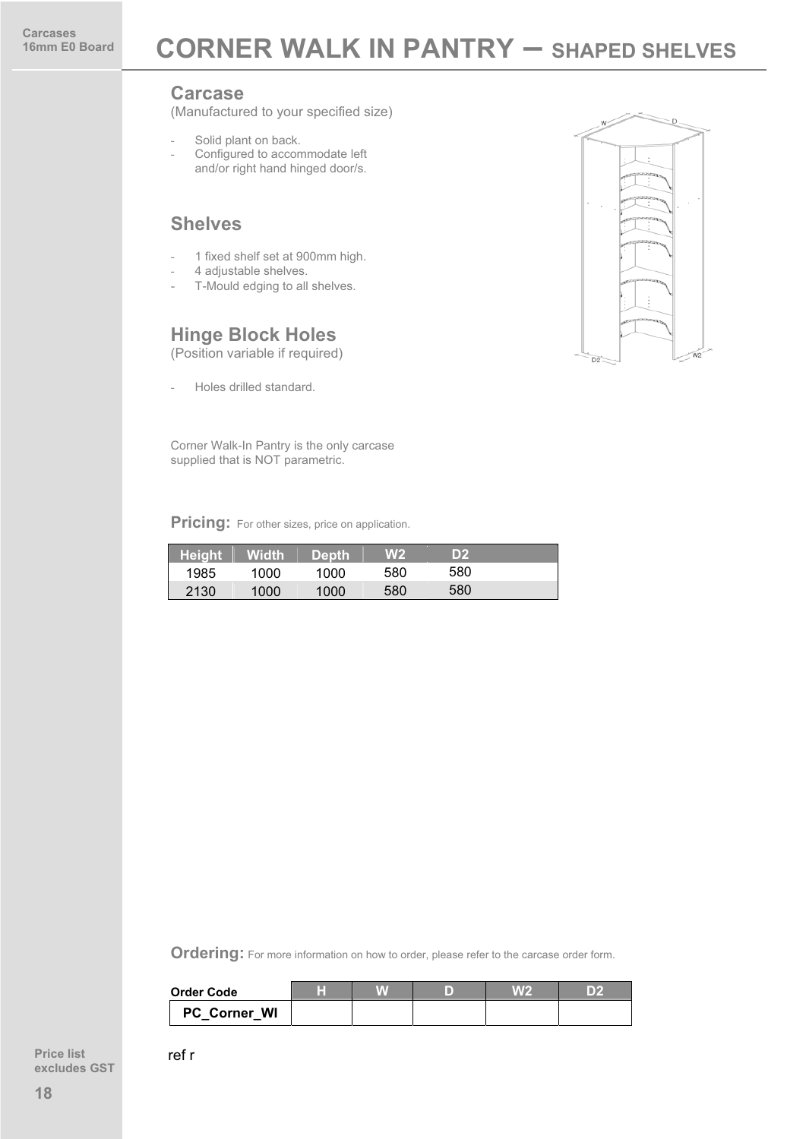(Manufactured to your specified size)

- Solid plant on back.
- Configured to accommodate left and/or right hand hinged door/s.

#### **Shelves**

- 1 fixed shelf set at 900mm high.
- 4 adjustable shelves.
- T-Mould edging to all shelves.

#### **Hinge Block Holes**

(Position variable if required)

Holes drilled standard.

Corner Walk-In Pantry is the only carcase supplied that is NOT parametric.

**Pricing:** For other sizes, price on application.

| <b>Height</b> | <b>Width</b> | <b>Depth</b> | W2. | D2  |  |
|---------------|--------------|--------------|-----|-----|--|
| 1985          | 1000         | 1000         | 580 | 580 |  |
| 2130          | 1000         | 1000         | 580 | 580 |  |

**Ordering:** For more information on how to order, please refer to the carcase order form.

| <b>Order Code</b> | ℡ |  | DP. |
|-------------------|---|--|-----|
| PC Corner WI      |   |  |     |

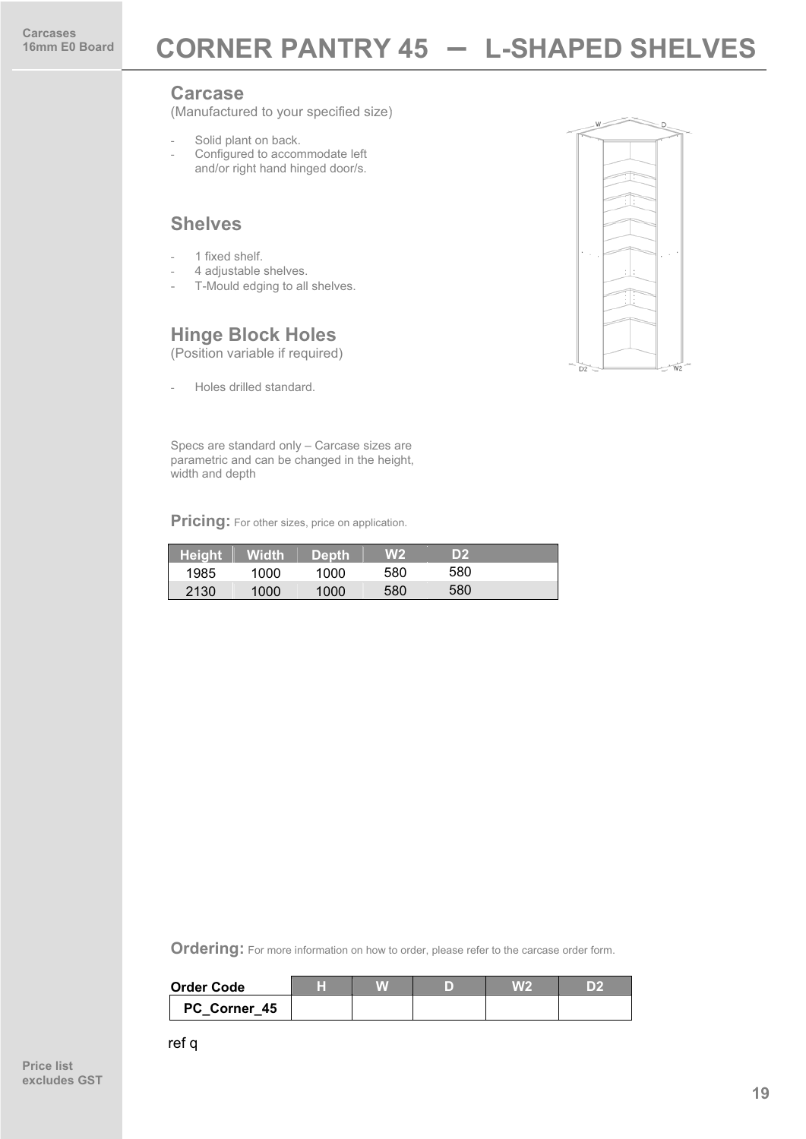(Manufactured to your specified size)

- Solid plant on back.
- Configured to accommodate left and/or right hand hinged door/s.

#### **Shelves**

- 1 fixed shelf.
- 4 adjustable shelves.
- T-Mould edging to all shelves.

#### **Hinge Block Holes**

(Position variable if required)

Holes drilled standard.

Specs are standard only – Carcase sizes are parametric and can be changed in the height, width and depth

**Pricing:** For other sizes, price on application.

| <b>Height</b> | <b>Width</b> | <b>Depth</b> | W <sub>2</sub> | D2  |  |
|---------------|--------------|--------------|----------------|-----|--|
| 1985          | 1000         | 1000         | 580            | 580 |  |
| 2130          | 1000         | 1000         | 580            | 580 |  |

**Ordering:** For more information on how to order, please refer to the carcase order form.

| Order Code   | H |  |  |
|--------------|---|--|--|
| PC Corner 45 |   |  |  |

ref q

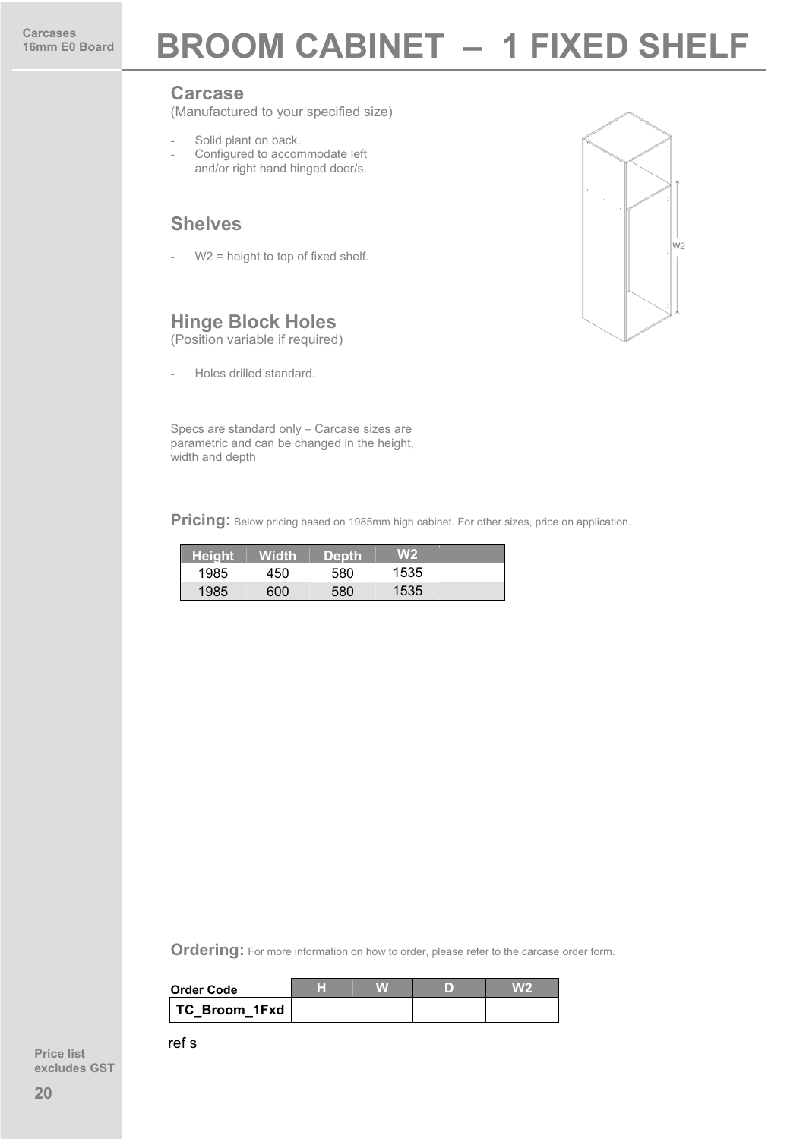## **16mm BROOM CABINET – 1 FIXED SHELF**

#### **Carcase**

(Manufactured to your specified size)

- Solid plant on back.
- Configured to accommodate left and/or right hand hinged door/s.

#### **Shelves**

 $W2$  = height to top of fixed shelf.

#### **Hinge Block Holes**

(Position variable if required)

- Holes drilled standard.

Specs are standard only – Carcase sizes are parametric and can be changed in the height, width and depth

Pricing: Below pricing based on 1985mm high cabinet. For other sizes, price on application.

| <b>Height</b> | Width' | <b>Depth</b> | W2   |  |
|---------------|--------|--------------|------|--|
| 1985          | 450    | 580          | 1535 |  |
| 1985          | 600    | 580          | 1535 |  |

**Ordering:** For more information on how to order, please refer to the carcase order form.

| Order Code    |  |  |
|---------------|--|--|
| TC Broom 1Fxd |  |  |

ref s

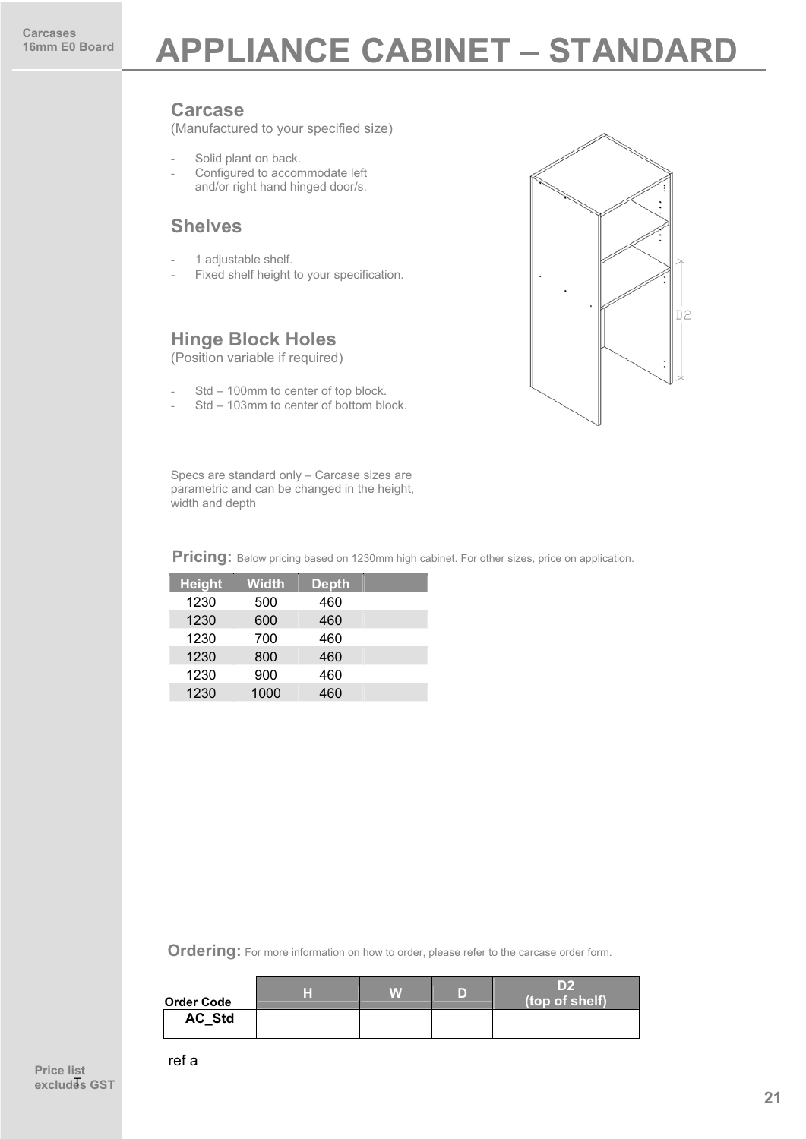### **APPLIANCE CABINET – STANDARD**

#### **Carcase**

(Manufactured to your specified size)

- Solid plant on back.
- Configured to accommodate left and/or right hand hinged door/s.

#### **Shelves**

- 1 adjustable shelf.
- Fixed shelf height to your specification.

#### **Hinge Block Holes**

(Position variable if required)

- Std 100mm to center of top block.
- Std 103mm to center of bottom block.



Specs are standard only – Carcase sizes are parametric and can be changed in the height, width and depth

**Pricing:** Below pricing based on 1230mm high cabinet. For other sizes, price on application.

| <b>Height</b> | <b>Width</b> | <b>Depth</b> |  |
|---------------|--------------|--------------|--|
| 1230          | 500          | 460          |  |
| 1230          | 600          | 460          |  |
| 1230          | 700          | 460          |  |
| 1230          | 800          | 460          |  |
| 1230          | 900          | 460          |  |
| 1230          | 1000         | 460          |  |

| <b>Order Code</b> | H | VAV | D | ID2<br>(top of shelf) |
|-------------------|---|-----|---|-----------------------|
| <b>AC Std</b>     |   |     |   |                       |